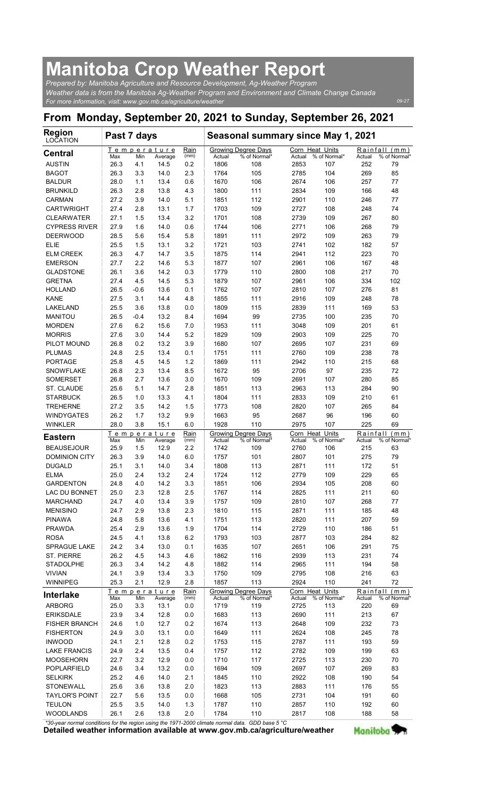## Manitoba Crop Weather Report

| <b>Manitoba Crop Weather Report</b><br>Prepared by: Manitoba Agriculture and Resource Development, Ag-Weather Program<br>Weather data is from the Manitoba Ag-Weather Program and Environment and Climate Change Canada<br>For more information, visit: www.gov.mb.ca/agriculture/weather<br>From Monday, September 20, 2021 to Sunday, September 26, 2021<br><b>Region</b><br>Past 7 days<br>Seasonal summary since May 1, 2021<br>Growing Degree Days<br>Temperature<br>Rain<br>Corn Heat Units<br>Max<br>Min<br>% of Normal*<br>Average<br>(mm)<br>Actual<br>Actual<br>% of Normal*<br>Actual<br>1806<br>252<br>79<br>26.3<br>4.1<br>14.5<br>0.2<br>108<br>2853<br>107<br>2.3<br>269<br>85<br>26.3<br>3.3<br>14.0<br>1764<br>105<br>2785<br>104<br>0.6<br>28.0<br>1.1<br>13.4<br>1670<br>106<br>2674<br>106<br>257<br>77<br>26.3<br>2.8<br>13.8<br>4.3<br>1800<br>2834<br>166<br>48<br>111<br>109<br>27.2<br>3.9<br>14.0<br>5.1<br>112<br>2901<br>1851<br>110<br>246<br>77<br>27.4<br>2.8<br>1.7<br>2727<br>74<br>13.1<br>1703<br>109<br>108<br>248<br>27.1<br>1.5<br>13.4<br>3.2<br>2739<br>1701<br>108<br>109<br>267<br>80<br>27.9<br>1.6<br>14.0<br>0.6<br>1744<br>106<br>2771<br>268<br>79<br>106<br>5.8<br>2972<br>79<br>28.5<br>5.6<br>15.4<br>1891<br>111<br>109<br>263<br>3.2<br>57<br>25.5<br>13.1<br>1721<br>103<br>2741<br>102<br>182<br>1.5<br>3.5<br>1875<br>223<br>70<br>26.3<br>4.7<br>14.7<br>114<br>2941<br>112<br>27.7<br>2.2<br>14.6<br>5.3<br>1877<br>107<br>2961<br>167<br>48<br>106<br>14.2<br><b>GLADSTONE</b><br>26.1<br>3.6<br>0.3<br>1779<br>70<br>110<br>2800<br>108<br>217<br>27.4<br>4.5<br>14.5<br>5.3<br>1879<br>107<br>102<br>2961<br>106<br>334<br>81<br>26.5<br>$-0.6$<br>13.6<br>0.1<br>1762<br>107<br>107<br>276<br>2810<br>27.5<br>3.1<br>4.8<br>1855<br>248<br>78<br>14.4<br>111<br>2916<br>109<br>25.5<br>3.6<br>13.8<br>0.0<br>1809<br>115<br>2839<br>111<br>169<br>53<br>26.5<br>13.2<br>99<br>2735<br>70<br>$-0.4$<br>8.4<br>1694<br>100<br>235<br><b>MORDEN</b><br>27.6<br>6.2<br>15.6<br>7.0<br>1953<br>111<br>3048<br>201<br>61<br>109<br>5.2<br>70<br>27.6<br>3.0<br>14.4<br>1829<br>109<br>2903<br>225<br>109<br>0.2<br>13.2<br>3.9<br>107<br>69<br>26.8<br>1680<br>2695<br>107<br>231<br>24.8<br>2.5<br>13.4<br>0.1<br>1751<br>111<br>2760<br>238<br>78<br>109<br>4.5<br>1.2<br>1869<br>215<br>68<br>25.8<br>14.5<br>111<br>2942<br>110<br>8.5<br>26.8<br>2.3<br>13.4<br>1672<br>95<br>2706<br>97<br>235<br>72<br><b>SOMERSET</b><br>2.7<br>85<br>26.8<br>13.6<br>3.0<br>1670<br>109<br>2691<br>107<br>280<br>25.6<br>5.1<br>14.7<br>2.8<br>1851<br>113<br>2963<br>284<br>90<br>113<br>26.5<br>13.3<br>1804<br>61<br>1.0<br>4.1<br>111<br>2833<br>109<br>210<br>27.2<br>3.5<br>14.2<br>1.5<br>1773<br>108<br>2820<br>265<br>84<br>107<br>26.2<br>1.7<br>13.2<br>9.9<br>1663<br>95<br>2687<br>96<br>196<br>60<br>28.0<br>3.8<br>15.1<br>1928<br>110<br>2975<br>225<br>69<br>6.0<br>107<br>Rain<br>Corn Heat Units<br>Temperature<br><b>Growing Degree Days</b><br>% of Normal*<br>Min<br>Average<br>(mm)<br>% of Normal*<br>Max<br>Actual<br>Actual<br>Actual<br>25.9<br>12.9<br>1742<br>2760<br>215<br>63<br>1.5<br>2.2<br>109<br>106<br>26.3<br>275<br>79<br>3.9<br>14.0<br>6.0<br>1757<br>101<br>2807<br>101<br>25.1<br>3.1<br>14.0<br>3.4<br>1808<br>113<br>2871<br>111<br>172<br>51<br>65<br>25.0<br>2.4<br>13.2<br>2.4<br>1724<br>112<br>2779<br>109<br>229<br>24.8<br>4.0<br>14.2<br>3.3<br>1851<br>106<br>2934<br>208<br>60<br>105<br>25.0<br>2.3<br>12.8<br>2.5<br>1767<br>114<br>2825<br>211<br>60<br>111<br>77<br>24.7<br>4.0<br>13.4<br>3.9<br>1757<br>109<br>2810<br>107<br>268<br>24.7<br>2.9<br>13.8<br>2.3<br>1810<br>115<br>2871<br>185<br>48<br>111<br>5.8<br>13.6<br>4.1<br>1751<br>113<br>2820<br>111<br>207<br>59<br>24.8<br>2.9<br>13.6<br>1.9<br>1704<br>51<br>25.4<br>114<br>2729<br>110<br>186<br>4.1<br>6.2<br>2877<br>82<br>24.5<br>13.8<br>1793<br>103<br>103<br>284<br>24.2<br>3.4<br>13.0<br>1635<br>107<br>75<br>0.1<br>2651<br>106<br>291<br>74<br>26.2<br>4.5<br>14.3<br>4.6<br>1862<br>116<br>2939<br>113<br>231<br>26.3<br>14.2<br>1882<br>58<br>3.4<br>4.8<br>114<br>2965<br>111<br>194<br>24.1<br>3.9<br>13.4<br>3.3<br>1750<br>109<br>2795<br>108<br>216<br>63<br>1857<br>2924<br>72<br>25.3<br>2.1<br>12.9<br>2.8<br>113<br>110<br>241<br><b>Growing Degree Days</b><br>Corn Heat Units<br>Rain<br>Теm<br>perature<br>Min<br>Max<br>Average<br>% of Normal*<br>% of Normal*<br>Actual<br>% of Normal<br>(mm)<br>Actual<br>Actual<br>25.0<br>3.3<br>13.1<br>1719<br>2725<br>220<br>69<br>0.0<br>119<br>113<br>23.9<br>3.4<br>12.8<br>0.0<br>1683<br>113<br>2690<br>111<br>213<br>67<br>24.6<br>1.0<br>12.7<br>0.2<br>1674<br>113<br>2648<br>109<br>73<br>232<br>111<br><b>FISHERTON</b><br>24.9<br>3.0<br>13.1<br>0.0<br>1649<br>2624<br>108<br>245<br>78<br>59<br>2.1<br>12.8<br>0.2<br>1753<br>115<br>2787<br>193<br>24.1<br>111<br>2.4<br>13.5<br>63<br>24.9<br>0.4<br>1757<br>112<br>2782<br>109<br>199<br><b>MOOSEHORN</b><br>3.2<br>12.9<br>117<br>70<br>22.7<br>0.0<br>1710<br>2725<br>113<br>230<br>3.4<br>13.2<br>2697<br>24.6<br>0.0<br>1694<br>109<br>107<br>269<br>83<br>14.0<br>54<br>25.2<br>4.6<br>2.1<br>1845<br>110<br>2922<br>190<br>108<br><b>STONEWALL</b><br>25.6<br>2.0<br>2883<br>55<br>3.6<br>13.8<br>1823<br>113<br>176<br>111<br>22.7<br>5.6<br>13.5<br>0.0<br>1668<br>105<br>2731<br>104<br>191<br>60<br>1.3<br>1787<br>110<br>60<br>25.5<br>3.5<br>14.0<br>2857<br>110<br>192<br>2817 |                                           |      |     |      |     |      |     |     |     |    |
|-----------------------------------------------------------------------------------------------------------------------------------------------------------------------------------------------------------------------------------------------------------------------------------------------------------------------------------------------------------------------------------------------------------------------------------------------------------------------------------------------------------------------------------------------------------------------------------------------------------------------------------------------------------------------------------------------------------------------------------------------------------------------------------------------------------------------------------------------------------------------------------------------------------------------------------------------------------------------------------------------------------------------------------------------------------------------------------------------------------------------------------------------------------------------------------------------------------------------------------------------------------------------------------------------------------------------------------------------------------------------------------------------------------------------------------------------------------------------------------------------------------------------------------------------------------------------------------------------------------------------------------------------------------------------------------------------------------------------------------------------------------------------------------------------------------------------------------------------------------------------------------------------------------------------------------------------------------------------------------------------------------------------------------------------------------------------------------------------------------------------------------------------------------------------------------------------------------------------------------------------------------------------------------------------------------------------------------------------------------------------------------------------------------------------------------------------------------------------------------------------------------------------------------------------------------------------------------------------------------------------------------------------------------------------------------------------------------------------------------------------------------------------------------------------------------------------------------------------------------------------------------------------------------------------------------------------------------------------------------------------------------------------------------------------------------------------------------------------------------------------------------------------------------------------------------------------------------------------------------------------------------------------------------------------------------------------------------------------------------------------------------------------------------------------------------------------------------------------------------------------------------------------------------------------------------------------------------------------------------------------------------------------------------------------------------------------------------------------------------------------------------------------------------------------------------------------------------------------------------------------------------------------------------------------------------------------------------------------------------------------------------------------------------------------------------------------------------------------------------------------------------------------------------------------------------------------------------------------------------------------------------------------------------------------------------------------------------------------------------------------------------------------------------------------------------------------------------------------------------------------------------------------------------------------------------------------------------------------------------------------------------------------------------------------------------------------------------------------------------------------------------------------------------------------------------------------------------------------------------------------------------------------------------------------------------------------------------------------------------------------------------------------------------------------------------------------------------------------------------------------------------------------------------------------------------------------------------------------------------------------------------------------------------------------------------------------------------------------------------------------------------------------------------------------------------------------------------------------------------------------------------|-------------------------------------------|------|-----|------|-----|------|-----|-----|-----|----|
| % of Normal'<br>Rainfall (mm)<br>% of Normal'<br>Rainfall (mm)                                                                                                                                                                                                                                                                                                                                                                                                                                                                                                                                                                                                                                                                                                                                                                                                                                                                                                                                                                                                                                                                                                                                                                                                                                                                                                                                                                                                                                                                                                                                                                                                                                                                                                                                                                                                                                                                                                                                                                                                                                                                                                                                                                                                                                                                                                                                                                                                                                                                                                                                                                                                                                                                                                                                                                                                                                                                                                                                                                                                                                                                                                                                                                                                                                                                                                                                                                                                                                                                                                                                                                                                                                                                                                                                                                                                                                                                                                                                                                                                                                                                                                                                                                                                                                                                                                                                                                                                                                                                                                                                                                                                                                                                                                                                                                                                                                                                                                                                                                                                                                                                                                                                                                                                                                                                                                                                                                                                                                            |                                           |      |     |      |     |      |     |     |     |    |
| 09-27<br>Rainfall (mm)                                                                                                                                                                                                                                                                                                                                                                                                                                                                                                                                                                                                                                                                                                                                                                                                                                                                                                                                                                                                                                                                                                                                                                                                                                                                                                                                                                                                                                                                                                                                                                                                                                                                                                                                                                                                                                                                                                                                                                                                                                                                                                                                                                                                                                                                                                                                                                                                                                                                                                                                                                                                                                                                                                                                                                                                                                                                                                                                                                                                                                                                                                                                                                                                                                                                                                                                                                                                                                                                                                                                                                                                                                                                                                                                                                                                                                                                                                                                                                                                                                                                                                                                                                                                                                                                                                                                                                                                                                                                                                                                                                                                                                                                                                                                                                                                                                                                                                                                                                                                                                                                                                                                                                                                                                                                                                                                                                                                                                                                                    |                                           |      |     |      |     |      |     |     |     |    |
|                                                                                                                                                                                                                                                                                                                                                                                                                                                                                                                                                                                                                                                                                                                                                                                                                                                                                                                                                                                                                                                                                                                                                                                                                                                                                                                                                                                                                                                                                                                                                                                                                                                                                                                                                                                                                                                                                                                                                                                                                                                                                                                                                                                                                                                                                                                                                                                                                                                                                                                                                                                                                                                                                                                                                                                                                                                                                                                                                                                                                                                                                                                                                                                                                                                                                                                                                                                                                                                                                                                                                                                                                                                                                                                                                                                                                                                                                                                                                                                                                                                                                                                                                                                                                                                                                                                                                                                                                                                                                                                                                                                                                                                                                                                                                                                                                                                                                                                                                                                                                                                                                                                                                                                                                                                                                                                                                                                                                                                                                                           |                                           |      |     |      |     |      |     |     |     |    |
|                                                                                                                                                                                                                                                                                                                                                                                                                                                                                                                                                                                                                                                                                                                                                                                                                                                                                                                                                                                                                                                                                                                                                                                                                                                                                                                                                                                                                                                                                                                                                                                                                                                                                                                                                                                                                                                                                                                                                                                                                                                                                                                                                                                                                                                                                                                                                                                                                                                                                                                                                                                                                                                                                                                                                                                                                                                                                                                                                                                                                                                                                                                                                                                                                                                                                                                                                                                                                                                                                                                                                                                                                                                                                                                                                                                                                                                                                                                                                                                                                                                                                                                                                                                                                                                                                                                                                                                                                                                                                                                                                                                                                                                                                                                                                                                                                                                                                                                                                                                                                                                                                                                                                                                                                                                                                                                                                                                                                                                                                                           |                                           |      |     |      |     |      |     |     |     |    |
|                                                                                                                                                                                                                                                                                                                                                                                                                                                                                                                                                                                                                                                                                                                                                                                                                                                                                                                                                                                                                                                                                                                                                                                                                                                                                                                                                                                                                                                                                                                                                                                                                                                                                                                                                                                                                                                                                                                                                                                                                                                                                                                                                                                                                                                                                                                                                                                                                                                                                                                                                                                                                                                                                                                                                                                                                                                                                                                                                                                                                                                                                                                                                                                                                                                                                                                                                                                                                                                                                                                                                                                                                                                                                                                                                                                                                                                                                                                                                                                                                                                                                                                                                                                                                                                                                                                                                                                                                                                                                                                                                                                                                                                                                                                                                                                                                                                                                                                                                                                                                                                                                                                                                                                                                                                                                                                                                                                                                                                                                                           |                                           |      |     |      |     |      |     |     |     |    |
|                                                                                                                                                                                                                                                                                                                                                                                                                                                                                                                                                                                                                                                                                                                                                                                                                                                                                                                                                                                                                                                                                                                                                                                                                                                                                                                                                                                                                                                                                                                                                                                                                                                                                                                                                                                                                                                                                                                                                                                                                                                                                                                                                                                                                                                                                                                                                                                                                                                                                                                                                                                                                                                                                                                                                                                                                                                                                                                                                                                                                                                                                                                                                                                                                                                                                                                                                                                                                                                                                                                                                                                                                                                                                                                                                                                                                                                                                                                                                                                                                                                                                                                                                                                                                                                                                                                                                                                                                                                                                                                                                                                                                                                                                                                                                                                                                                                                                                                                                                                                                                                                                                                                                                                                                                                                                                                                                                                                                                                                                                           |                                           |      |     |      |     |      |     |     |     |    |
|                                                                                                                                                                                                                                                                                                                                                                                                                                                                                                                                                                                                                                                                                                                                                                                                                                                                                                                                                                                                                                                                                                                                                                                                                                                                                                                                                                                                                                                                                                                                                                                                                                                                                                                                                                                                                                                                                                                                                                                                                                                                                                                                                                                                                                                                                                                                                                                                                                                                                                                                                                                                                                                                                                                                                                                                                                                                                                                                                                                                                                                                                                                                                                                                                                                                                                                                                                                                                                                                                                                                                                                                                                                                                                                                                                                                                                                                                                                                                                                                                                                                                                                                                                                                                                                                                                                                                                                                                                                                                                                                                                                                                                                                                                                                                                                                                                                                                                                                                                                                                                                                                                                                                                                                                                                                                                                                                                                                                                                                                                           |                                           |      |     |      |     |      |     |     |     |    |
|                                                                                                                                                                                                                                                                                                                                                                                                                                                                                                                                                                                                                                                                                                                                                                                                                                                                                                                                                                                                                                                                                                                                                                                                                                                                                                                                                                                                                                                                                                                                                                                                                                                                                                                                                                                                                                                                                                                                                                                                                                                                                                                                                                                                                                                                                                                                                                                                                                                                                                                                                                                                                                                                                                                                                                                                                                                                                                                                                                                                                                                                                                                                                                                                                                                                                                                                                                                                                                                                                                                                                                                                                                                                                                                                                                                                                                                                                                                                                                                                                                                                                                                                                                                                                                                                                                                                                                                                                                                                                                                                                                                                                                                                                                                                                                                                                                                                                                                                                                                                                                                                                                                                                                                                                                                                                                                                                                                                                                                                                                           |                                           |      |     |      |     |      |     |     |     |    |
|                                                                                                                                                                                                                                                                                                                                                                                                                                                                                                                                                                                                                                                                                                                                                                                                                                                                                                                                                                                                                                                                                                                                                                                                                                                                                                                                                                                                                                                                                                                                                                                                                                                                                                                                                                                                                                                                                                                                                                                                                                                                                                                                                                                                                                                                                                                                                                                                                                                                                                                                                                                                                                                                                                                                                                                                                                                                                                                                                                                                                                                                                                                                                                                                                                                                                                                                                                                                                                                                                                                                                                                                                                                                                                                                                                                                                                                                                                                                                                                                                                                                                                                                                                                                                                                                                                                                                                                                                                                                                                                                                                                                                                                                                                                                                                                                                                                                                                                                                                                                                                                                                                                                                                                                                                                                                                                                                                                                                                                                                                           |                                           |      |     |      |     |      |     |     |     |    |
|                                                                                                                                                                                                                                                                                                                                                                                                                                                                                                                                                                                                                                                                                                                                                                                                                                                                                                                                                                                                                                                                                                                                                                                                                                                                                                                                                                                                                                                                                                                                                                                                                                                                                                                                                                                                                                                                                                                                                                                                                                                                                                                                                                                                                                                                                                                                                                                                                                                                                                                                                                                                                                                                                                                                                                                                                                                                                                                                                                                                                                                                                                                                                                                                                                                                                                                                                                                                                                                                                                                                                                                                                                                                                                                                                                                                                                                                                                                                                                                                                                                                                                                                                                                                                                                                                                                                                                                                                                                                                                                                                                                                                                                                                                                                                                                                                                                                                                                                                                                                                                                                                                                                                                                                                                                                                                                                                                                                                                                                                                           |                                           |      |     |      |     |      |     |     |     |    |
|                                                                                                                                                                                                                                                                                                                                                                                                                                                                                                                                                                                                                                                                                                                                                                                                                                                                                                                                                                                                                                                                                                                                                                                                                                                                                                                                                                                                                                                                                                                                                                                                                                                                                                                                                                                                                                                                                                                                                                                                                                                                                                                                                                                                                                                                                                                                                                                                                                                                                                                                                                                                                                                                                                                                                                                                                                                                                                                                                                                                                                                                                                                                                                                                                                                                                                                                                                                                                                                                                                                                                                                                                                                                                                                                                                                                                                                                                                                                                                                                                                                                                                                                                                                                                                                                                                                                                                                                                                                                                                                                                                                                                                                                                                                                                                                                                                                                                                                                                                                                                                                                                                                                                                                                                                                                                                                                                                                                                                                                                                           | LOCATION                                  |      |     |      |     |      |     |     |     |    |
|                                                                                                                                                                                                                                                                                                                                                                                                                                                                                                                                                                                                                                                                                                                                                                                                                                                                                                                                                                                                                                                                                                                                                                                                                                                                                                                                                                                                                                                                                                                                                                                                                                                                                                                                                                                                                                                                                                                                                                                                                                                                                                                                                                                                                                                                                                                                                                                                                                                                                                                                                                                                                                                                                                                                                                                                                                                                                                                                                                                                                                                                                                                                                                                                                                                                                                                                                                                                                                                                                                                                                                                                                                                                                                                                                                                                                                                                                                                                                                                                                                                                                                                                                                                                                                                                                                                                                                                                                                                                                                                                                                                                                                                                                                                                                                                                                                                                                                                                                                                                                                                                                                                                                                                                                                                                                                                                                                                                                                                                                                           | <b>Central</b>                            |      |     |      |     |      |     |     |     |    |
|                                                                                                                                                                                                                                                                                                                                                                                                                                                                                                                                                                                                                                                                                                                                                                                                                                                                                                                                                                                                                                                                                                                                                                                                                                                                                                                                                                                                                                                                                                                                                                                                                                                                                                                                                                                                                                                                                                                                                                                                                                                                                                                                                                                                                                                                                                                                                                                                                                                                                                                                                                                                                                                                                                                                                                                                                                                                                                                                                                                                                                                                                                                                                                                                                                                                                                                                                                                                                                                                                                                                                                                                                                                                                                                                                                                                                                                                                                                                                                                                                                                                                                                                                                                                                                                                                                                                                                                                                                                                                                                                                                                                                                                                                                                                                                                                                                                                                                                                                                                                                                                                                                                                                                                                                                                                                                                                                                                                                                                                                                           | <b>AUSTIN</b><br><b>BAGOT</b>             |      |     |      |     |      |     |     |     |    |
|                                                                                                                                                                                                                                                                                                                                                                                                                                                                                                                                                                                                                                                                                                                                                                                                                                                                                                                                                                                                                                                                                                                                                                                                                                                                                                                                                                                                                                                                                                                                                                                                                                                                                                                                                                                                                                                                                                                                                                                                                                                                                                                                                                                                                                                                                                                                                                                                                                                                                                                                                                                                                                                                                                                                                                                                                                                                                                                                                                                                                                                                                                                                                                                                                                                                                                                                                                                                                                                                                                                                                                                                                                                                                                                                                                                                                                                                                                                                                                                                                                                                                                                                                                                                                                                                                                                                                                                                                                                                                                                                                                                                                                                                                                                                                                                                                                                                                                                                                                                                                                                                                                                                                                                                                                                                                                                                                                                                                                                                                                           | <b>BALDUR</b>                             |      |     |      |     |      |     |     |     |    |
|                                                                                                                                                                                                                                                                                                                                                                                                                                                                                                                                                                                                                                                                                                                                                                                                                                                                                                                                                                                                                                                                                                                                                                                                                                                                                                                                                                                                                                                                                                                                                                                                                                                                                                                                                                                                                                                                                                                                                                                                                                                                                                                                                                                                                                                                                                                                                                                                                                                                                                                                                                                                                                                                                                                                                                                                                                                                                                                                                                                                                                                                                                                                                                                                                                                                                                                                                                                                                                                                                                                                                                                                                                                                                                                                                                                                                                                                                                                                                                                                                                                                                                                                                                                                                                                                                                                                                                                                                                                                                                                                                                                                                                                                                                                                                                                                                                                                                                                                                                                                                                                                                                                                                                                                                                                                                                                                                                                                                                                                                                           | <b>BRUNKILD</b><br><b>CARMAN</b>          |      |     |      |     |      |     |     |     |    |
|                                                                                                                                                                                                                                                                                                                                                                                                                                                                                                                                                                                                                                                                                                                                                                                                                                                                                                                                                                                                                                                                                                                                                                                                                                                                                                                                                                                                                                                                                                                                                                                                                                                                                                                                                                                                                                                                                                                                                                                                                                                                                                                                                                                                                                                                                                                                                                                                                                                                                                                                                                                                                                                                                                                                                                                                                                                                                                                                                                                                                                                                                                                                                                                                                                                                                                                                                                                                                                                                                                                                                                                                                                                                                                                                                                                                                                                                                                                                                                                                                                                                                                                                                                                                                                                                                                                                                                                                                                                                                                                                                                                                                                                                                                                                                                                                                                                                                                                                                                                                                                                                                                                                                                                                                                                                                                                                                                                                                                                                                                           | <b>CARTWRIGHT</b>                         |      |     |      |     |      |     |     |     |    |
|                                                                                                                                                                                                                                                                                                                                                                                                                                                                                                                                                                                                                                                                                                                                                                                                                                                                                                                                                                                                                                                                                                                                                                                                                                                                                                                                                                                                                                                                                                                                                                                                                                                                                                                                                                                                                                                                                                                                                                                                                                                                                                                                                                                                                                                                                                                                                                                                                                                                                                                                                                                                                                                                                                                                                                                                                                                                                                                                                                                                                                                                                                                                                                                                                                                                                                                                                                                                                                                                                                                                                                                                                                                                                                                                                                                                                                                                                                                                                                                                                                                                                                                                                                                                                                                                                                                                                                                                                                                                                                                                                                                                                                                                                                                                                                                                                                                                                                                                                                                                                                                                                                                                                                                                                                                                                                                                                                                                                                                                                                           | <b>CLEARWATER</b><br><b>CYPRESS RIVER</b> |      |     |      |     |      |     |     |     |    |
|                                                                                                                                                                                                                                                                                                                                                                                                                                                                                                                                                                                                                                                                                                                                                                                                                                                                                                                                                                                                                                                                                                                                                                                                                                                                                                                                                                                                                                                                                                                                                                                                                                                                                                                                                                                                                                                                                                                                                                                                                                                                                                                                                                                                                                                                                                                                                                                                                                                                                                                                                                                                                                                                                                                                                                                                                                                                                                                                                                                                                                                                                                                                                                                                                                                                                                                                                                                                                                                                                                                                                                                                                                                                                                                                                                                                                                                                                                                                                                                                                                                                                                                                                                                                                                                                                                                                                                                                                                                                                                                                                                                                                                                                                                                                                                                                                                                                                                                                                                                                                                                                                                                                                                                                                                                                                                                                                                                                                                                                                                           | <b>DEERWOOD</b>                           |      |     |      |     |      |     |     |     |    |
|                                                                                                                                                                                                                                                                                                                                                                                                                                                                                                                                                                                                                                                                                                                                                                                                                                                                                                                                                                                                                                                                                                                                                                                                                                                                                                                                                                                                                                                                                                                                                                                                                                                                                                                                                                                                                                                                                                                                                                                                                                                                                                                                                                                                                                                                                                                                                                                                                                                                                                                                                                                                                                                                                                                                                                                                                                                                                                                                                                                                                                                                                                                                                                                                                                                                                                                                                                                                                                                                                                                                                                                                                                                                                                                                                                                                                                                                                                                                                                                                                                                                                                                                                                                                                                                                                                                                                                                                                                                                                                                                                                                                                                                                                                                                                                                                                                                                                                                                                                                                                                                                                                                                                                                                                                                                                                                                                                                                                                                                                                           | <b>ELIE</b><br><b>ELM CREEK</b>           |      |     |      |     |      |     |     |     |    |
|                                                                                                                                                                                                                                                                                                                                                                                                                                                                                                                                                                                                                                                                                                                                                                                                                                                                                                                                                                                                                                                                                                                                                                                                                                                                                                                                                                                                                                                                                                                                                                                                                                                                                                                                                                                                                                                                                                                                                                                                                                                                                                                                                                                                                                                                                                                                                                                                                                                                                                                                                                                                                                                                                                                                                                                                                                                                                                                                                                                                                                                                                                                                                                                                                                                                                                                                                                                                                                                                                                                                                                                                                                                                                                                                                                                                                                                                                                                                                                                                                                                                                                                                                                                                                                                                                                                                                                                                                                                                                                                                                                                                                                                                                                                                                                                                                                                                                                                                                                                                                                                                                                                                                                                                                                                                                                                                                                                                                                                                                                           | <b>EMERSON</b>                            |      |     |      |     |      |     |     |     |    |
|                                                                                                                                                                                                                                                                                                                                                                                                                                                                                                                                                                                                                                                                                                                                                                                                                                                                                                                                                                                                                                                                                                                                                                                                                                                                                                                                                                                                                                                                                                                                                                                                                                                                                                                                                                                                                                                                                                                                                                                                                                                                                                                                                                                                                                                                                                                                                                                                                                                                                                                                                                                                                                                                                                                                                                                                                                                                                                                                                                                                                                                                                                                                                                                                                                                                                                                                                                                                                                                                                                                                                                                                                                                                                                                                                                                                                                                                                                                                                                                                                                                                                                                                                                                                                                                                                                                                                                                                                                                                                                                                                                                                                                                                                                                                                                                                                                                                                                                                                                                                                                                                                                                                                                                                                                                                                                                                                                                                                                                                                                           | <b>GRETNA</b>                             |      |     |      |     |      |     |     |     |    |
|                                                                                                                                                                                                                                                                                                                                                                                                                                                                                                                                                                                                                                                                                                                                                                                                                                                                                                                                                                                                                                                                                                                                                                                                                                                                                                                                                                                                                                                                                                                                                                                                                                                                                                                                                                                                                                                                                                                                                                                                                                                                                                                                                                                                                                                                                                                                                                                                                                                                                                                                                                                                                                                                                                                                                                                                                                                                                                                                                                                                                                                                                                                                                                                                                                                                                                                                                                                                                                                                                                                                                                                                                                                                                                                                                                                                                                                                                                                                                                                                                                                                                                                                                                                                                                                                                                                                                                                                                                                                                                                                                                                                                                                                                                                                                                                                                                                                                                                                                                                                                                                                                                                                                                                                                                                                                                                                                                                                                                                                                                           | <b>HOLLAND</b>                            |      |     |      |     |      |     |     |     |    |
|                                                                                                                                                                                                                                                                                                                                                                                                                                                                                                                                                                                                                                                                                                                                                                                                                                                                                                                                                                                                                                                                                                                                                                                                                                                                                                                                                                                                                                                                                                                                                                                                                                                                                                                                                                                                                                                                                                                                                                                                                                                                                                                                                                                                                                                                                                                                                                                                                                                                                                                                                                                                                                                                                                                                                                                                                                                                                                                                                                                                                                                                                                                                                                                                                                                                                                                                                                                                                                                                                                                                                                                                                                                                                                                                                                                                                                                                                                                                                                                                                                                                                                                                                                                                                                                                                                                                                                                                                                                                                                                                                                                                                                                                                                                                                                                                                                                                                                                                                                                                                                                                                                                                                                                                                                                                                                                                                                                                                                                                                                           | KANE<br>LAKELAND                          |      |     |      |     |      |     |     |     |    |
|                                                                                                                                                                                                                                                                                                                                                                                                                                                                                                                                                                                                                                                                                                                                                                                                                                                                                                                                                                                                                                                                                                                                                                                                                                                                                                                                                                                                                                                                                                                                                                                                                                                                                                                                                                                                                                                                                                                                                                                                                                                                                                                                                                                                                                                                                                                                                                                                                                                                                                                                                                                                                                                                                                                                                                                                                                                                                                                                                                                                                                                                                                                                                                                                                                                                                                                                                                                                                                                                                                                                                                                                                                                                                                                                                                                                                                                                                                                                                                                                                                                                                                                                                                                                                                                                                                                                                                                                                                                                                                                                                                                                                                                                                                                                                                                                                                                                                                                                                                                                                                                                                                                                                                                                                                                                                                                                                                                                                                                                                                           | <b>MANITOU</b>                            |      |     |      |     |      |     |     |     |    |
|                                                                                                                                                                                                                                                                                                                                                                                                                                                                                                                                                                                                                                                                                                                                                                                                                                                                                                                                                                                                                                                                                                                                                                                                                                                                                                                                                                                                                                                                                                                                                                                                                                                                                                                                                                                                                                                                                                                                                                                                                                                                                                                                                                                                                                                                                                                                                                                                                                                                                                                                                                                                                                                                                                                                                                                                                                                                                                                                                                                                                                                                                                                                                                                                                                                                                                                                                                                                                                                                                                                                                                                                                                                                                                                                                                                                                                                                                                                                                                                                                                                                                                                                                                                                                                                                                                                                                                                                                                                                                                                                                                                                                                                                                                                                                                                                                                                                                                                                                                                                                                                                                                                                                                                                                                                                                                                                                                                                                                                                                                           | <b>MORRIS</b>                             |      |     |      |     |      |     |     |     |    |
|                                                                                                                                                                                                                                                                                                                                                                                                                                                                                                                                                                                                                                                                                                                                                                                                                                                                                                                                                                                                                                                                                                                                                                                                                                                                                                                                                                                                                                                                                                                                                                                                                                                                                                                                                                                                                                                                                                                                                                                                                                                                                                                                                                                                                                                                                                                                                                                                                                                                                                                                                                                                                                                                                                                                                                                                                                                                                                                                                                                                                                                                                                                                                                                                                                                                                                                                                                                                                                                                                                                                                                                                                                                                                                                                                                                                                                                                                                                                                                                                                                                                                                                                                                                                                                                                                                                                                                                                                                                                                                                                                                                                                                                                                                                                                                                                                                                                                                                                                                                                                                                                                                                                                                                                                                                                                                                                                                                                                                                                                                           | PILOT MOUND                               |      |     |      |     |      |     |     |     |    |
|                                                                                                                                                                                                                                                                                                                                                                                                                                                                                                                                                                                                                                                                                                                                                                                                                                                                                                                                                                                                                                                                                                                                                                                                                                                                                                                                                                                                                                                                                                                                                                                                                                                                                                                                                                                                                                                                                                                                                                                                                                                                                                                                                                                                                                                                                                                                                                                                                                                                                                                                                                                                                                                                                                                                                                                                                                                                                                                                                                                                                                                                                                                                                                                                                                                                                                                                                                                                                                                                                                                                                                                                                                                                                                                                                                                                                                                                                                                                                                                                                                                                                                                                                                                                                                                                                                                                                                                                                                                                                                                                                                                                                                                                                                                                                                                                                                                                                                                                                                                                                                                                                                                                                                                                                                                                                                                                                                                                                                                                                                           | <b>PLUMAS</b><br><b>PORTAGE</b>           |      |     |      |     |      |     |     |     |    |
|                                                                                                                                                                                                                                                                                                                                                                                                                                                                                                                                                                                                                                                                                                                                                                                                                                                                                                                                                                                                                                                                                                                                                                                                                                                                                                                                                                                                                                                                                                                                                                                                                                                                                                                                                                                                                                                                                                                                                                                                                                                                                                                                                                                                                                                                                                                                                                                                                                                                                                                                                                                                                                                                                                                                                                                                                                                                                                                                                                                                                                                                                                                                                                                                                                                                                                                                                                                                                                                                                                                                                                                                                                                                                                                                                                                                                                                                                                                                                                                                                                                                                                                                                                                                                                                                                                                                                                                                                                                                                                                                                                                                                                                                                                                                                                                                                                                                                                                                                                                                                                                                                                                                                                                                                                                                                                                                                                                                                                                                                                           | SNOWFLAKE                                 |      |     |      |     |      |     |     |     |    |
|                                                                                                                                                                                                                                                                                                                                                                                                                                                                                                                                                                                                                                                                                                                                                                                                                                                                                                                                                                                                                                                                                                                                                                                                                                                                                                                                                                                                                                                                                                                                                                                                                                                                                                                                                                                                                                                                                                                                                                                                                                                                                                                                                                                                                                                                                                                                                                                                                                                                                                                                                                                                                                                                                                                                                                                                                                                                                                                                                                                                                                                                                                                                                                                                                                                                                                                                                                                                                                                                                                                                                                                                                                                                                                                                                                                                                                                                                                                                                                                                                                                                                                                                                                                                                                                                                                                                                                                                                                                                                                                                                                                                                                                                                                                                                                                                                                                                                                                                                                                                                                                                                                                                                                                                                                                                                                                                                                                                                                                                                                           | ST. CLAUDE                                |      |     |      |     |      |     |     |     |    |
|                                                                                                                                                                                                                                                                                                                                                                                                                                                                                                                                                                                                                                                                                                                                                                                                                                                                                                                                                                                                                                                                                                                                                                                                                                                                                                                                                                                                                                                                                                                                                                                                                                                                                                                                                                                                                                                                                                                                                                                                                                                                                                                                                                                                                                                                                                                                                                                                                                                                                                                                                                                                                                                                                                                                                                                                                                                                                                                                                                                                                                                                                                                                                                                                                                                                                                                                                                                                                                                                                                                                                                                                                                                                                                                                                                                                                                                                                                                                                                                                                                                                                                                                                                                                                                                                                                                                                                                                                                                                                                                                                                                                                                                                                                                                                                                                                                                                                                                                                                                                                                                                                                                                                                                                                                                                                                                                                                                                                                                                                                           | <b>STARBUCK</b>                           |      |     |      |     |      |     |     |     |    |
|                                                                                                                                                                                                                                                                                                                                                                                                                                                                                                                                                                                                                                                                                                                                                                                                                                                                                                                                                                                                                                                                                                                                                                                                                                                                                                                                                                                                                                                                                                                                                                                                                                                                                                                                                                                                                                                                                                                                                                                                                                                                                                                                                                                                                                                                                                                                                                                                                                                                                                                                                                                                                                                                                                                                                                                                                                                                                                                                                                                                                                                                                                                                                                                                                                                                                                                                                                                                                                                                                                                                                                                                                                                                                                                                                                                                                                                                                                                                                                                                                                                                                                                                                                                                                                                                                                                                                                                                                                                                                                                                                                                                                                                                                                                                                                                                                                                                                                                                                                                                                                                                                                                                                                                                                                                                                                                                                                                                                                                                                                           | <b>TREHERNE</b><br><b>WINDYGATES</b>      |      |     |      |     |      |     |     |     |    |
|                                                                                                                                                                                                                                                                                                                                                                                                                                                                                                                                                                                                                                                                                                                                                                                                                                                                                                                                                                                                                                                                                                                                                                                                                                                                                                                                                                                                                                                                                                                                                                                                                                                                                                                                                                                                                                                                                                                                                                                                                                                                                                                                                                                                                                                                                                                                                                                                                                                                                                                                                                                                                                                                                                                                                                                                                                                                                                                                                                                                                                                                                                                                                                                                                                                                                                                                                                                                                                                                                                                                                                                                                                                                                                                                                                                                                                                                                                                                                                                                                                                                                                                                                                                                                                                                                                                                                                                                                                                                                                                                                                                                                                                                                                                                                                                                                                                                                                                                                                                                                                                                                                                                                                                                                                                                                                                                                                                                                                                                                                           | <b>WINKLER</b>                            |      |     |      |     |      |     |     |     |    |
|                                                                                                                                                                                                                                                                                                                                                                                                                                                                                                                                                                                                                                                                                                                                                                                                                                                                                                                                                                                                                                                                                                                                                                                                                                                                                                                                                                                                                                                                                                                                                                                                                                                                                                                                                                                                                                                                                                                                                                                                                                                                                                                                                                                                                                                                                                                                                                                                                                                                                                                                                                                                                                                                                                                                                                                                                                                                                                                                                                                                                                                                                                                                                                                                                                                                                                                                                                                                                                                                                                                                                                                                                                                                                                                                                                                                                                                                                                                                                                                                                                                                                                                                                                                                                                                                                                                                                                                                                                                                                                                                                                                                                                                                                                                                                                                                                                                                                                                                                                                                                                                                                                                                                                                                                                                                                                                                                                                                                                                                                                           | <b>Eastern</b>                            |      |     |      |     |      |     |     |     |    |
|                                                                                                                                                                                                                                                                                                                                                                                                                                                                                                                                                                                                                                                                                                                                                                                                                                                                                                                                                                                                                                                                                                                                                                                                                                                                                                                                                                                                                                                                                                                                                                                                                                                                                                                                                                                                                                                                                                                                                                                                                                                                                                                                                                                                                                                                                                                                                                                                                                                                                                                                                                                                                                                                                                                                                                                                                                                                                                                                                                                                                                                                                                                                                                                                                                                                                                                                                                                                                                                                                                                                                                                                                                                                                                                                                                                                                                                                                                                                                                                                                                                                                                                                                                                                                                                                                                                                                                                                                                                                                                                                                                                                                                                                                                                                                                                                                                                                                                                                                                                                                                                                                                                                                                                                                                                                                                                                                                                                                                                                                                           | <b>BEAUSEJOUR</b><br><b>DOMINION CITY</b> |      |     |      |     |      |     |     |     |    |
|                                                                                                                                                                                                                                                                                                                                                                                                                                                                                                                                                                                                                                                                                                                                                                                                                                                                                                                                                                                                                                                                                                                                                                                                                                                                                                                                                                                                                                                                                                                                                                                                                                                                                                                                                                                                                                                                                                                                                                                                                                                                                                                                                                                                                                                                                                                                                                                                                                                                                                                                                                                                                                                                                                                                                                                                                                                                                                                                                                                                                                                                                                                                                                                                                                                                                                                                                                                                                                                                                                                                                                                                                                                                                                                                                                                                                                                                                                                                                                                                                                                                                                                                                                                                                                                                                                                                                                                                                                                                                                                                                                                                                                                                                                                                                                                                                                                                                                                                                                                                                                                                                                                                                                                                                                                                                                                                                                                                                                                                                                           | <b>DUGALD</b>                             |      |     |      |     |      |     |     |     |    |
|                                                                                                                                                                                                                                                                                                                                                                                                                                                                                                                                                                                                                                                                                                                                                                                                                                                                                                                                                                                                                                                                                                                                                                                                                                                                                                                                                                                                                                                                                                                                                                                                                                                                                                                                                                                                                                                                                                                                                                                                                                                                                                                                                                                                                                                                                                                                                                                                                                                                                                                                                                                                                                                                                                                                                                                                                                                                                                                                                                                                                                                                                                                                                                                                                                                                                                                                                                                                                                                                                                                                                                                                                                                                                                                                                                                                                                                                                                                                                                                                                                                                                                                                                                                                                                                                                                                                                                                                                                                                                                                                                                                                                                                                                                                                                                                                                                                                                                                                                                                                                                                                                                                                                                                                                                                                                                                                                                                                                                                                                                           | <b>ELMA</b><br><b>GARDENTON</b>           |      |     |      |     |      |     |     |     |    |
|                                                                                                                                                                                                                                                                                                                                                                                                                                                                                                                                                                                                                                                                                                                                                                                                                                                                                                                                                                                                                                                                                                                                                                                                                                                                                                                                                                                                                                                                                                                                                                                                                                                                                                                                                                                                                                                                                                                                                                                                                                                                                                                                                                                                                                                                                                                                                                                                                                                                                                                                                                                                                                                                                                                                                                                                                                                                                                                                                                                                                                                                                                                                                                                                                                                                                                                                                                                                                                                                                                                                                                                                                                                                                                                                                                                                                                                                                                                                                                                                                                                                                                                                                                                                                                                                                                                                                                                                                                                                                                                                                                                                                                                                                                                                                                                                                                                                                                                                                                                                                                                                                                                                                                                                                                                                                                                                                                                                                                                                                                           | <b>LAC DU BONNET</b>                      |      |     |      |     |      |     |     |     |    |
|                                                                                                                                                                                                                                                                                                                                                                                                                                                                                                                                                                                                                                                                                                                                                                                                                                                                                                                                                                                                                                                                                                                                                                                                                                                                                                                                                                                                                                                                                                                                                                                                                                                                                                                                                                                                                                                                                                                                                                                                                                                                                                                                                                                                                                                                                                                                                                                                                                                                                                                                                                                                                                                                                                                                                                                                                                                                                                                                                                                                                                                                                                                                                                                                                                                                                                                                                                                                                                                                                                                                                                                                                                                                                                                                                                                                                                                                                                                                                                                                                                                                                                                                                                                                                                                                                                                                                                                                                                                                                                                                                                                                                                                                                                                                                                                                                                                                                                                                                                                                                                                                                                                                                                                                                                                                                                                                                                                                                                                                                                           | <b>MARCHAND</b><br><b>MENISINO</b>        |      |     |      |     |      |     |     |     |    |
|                                                                                                                                                                                                                                                                                                                                                                                                                                                                                                                                                                                                                                                                                                                                                                                                                                                                                                                                                                                                                                                                                                                                                                                                                                                                                                                                                                                                                                                                                                                                                                                                                                                                                                                                                                                                                                                                                                                                                                                                                                                                                                                                                                                                                                                                                                                                                                                                                                                                                                                                                                                                                                                                                                                                                                                                                                                                                                                                                                                                                                                                                                                                                                                                                                                                                                                                                                                                                                                                                                                                                                                                                                                                                                                                                                                                                                                                                                                                                                                                                                                                                                                                                                                                                                                                                                                                                                                                                                                                                                                                                                                                                                                                                                                                                                                                                                                                                                                                                                                                                                                                                                                                                                                                                                                                                                                                                                                                                                                                                                           | <b>PINAWA</b>                             |      |     |      |     |      |     |     |     |    |
|                                                                                                                                                                                                                                                                                                                                                                                                                                                                                                                                                                                                                                                                                                                                                                                                                                                                                                                                                                                                                                                                                                                                                                                                                                                                                                                                                                                                                                                                                                                                                                                                                                                                                                                                                                                                                                                                                                                                                                                                                                                                                                                                                                                                                                                                                                                                                                                                                                                                                                                                                                                                                                                                                                                                                                                                                                                                                                                                                                                                                                                                                                                                                                                                                                                                                                                                                                                                                                                                                                                                                                                                                                                                                                                                                                                                                                                                                                                                                                                                                                                                                                                                                                                                                                                                                                                                                                                                                                                                                                                                                                                                                                                                                                                                                                                                                                                                                                                                                                                                                                                                                                                                                                                                                                                                                                                                                                                                                                                                                                           | <b>PRAWDA</b><br><b>ROSA</b>              |      |     |      |     |      |     |     |     |    |
|                                                                                                                                                                                                                                                                                                                                                                                                                                                                                                                                                                                                                                                                                                                                                                                                                                                                                                                                                                                                                                                                                                                                                                                                                                                                                                                                                                                                                                                                                                                                                                                                                                                                                                                                                                                                                                                                                                                                                                                                                                                                                                                                                                                                                                                                                                                                                                                                                                                                                                                                                                                                                                                                                                                                                                                                                                                                                                                                                                                                                                                                                                                                                                                                                                                                                                                                                                                                                                                                                                                                                                                                                                                                                                                                                                                                                                                                                                                                                                                                                                                                                                                                                                                                                                                                                                                                                                                                                                                                                                                                                                                                                                                                                                                                                                                                                                                                                                                                                                                                                                                                                                                                                                                                                                                                                                                                                                                                                                                                                                           | SPRAGUE LAKE                              |      |     |      |     |      |     |     |     |    |
|                                                                                                                                                                                                                                                                                                                                                                                                                                                                                                                                                                                                                                                                                                                                                                                                                                                                                                                                                                                                                                                                                                                                                                                                                                                                                                                                                                                                                                                                                                                                                                                                                                                                                                                                                                                                                                                                                                                                                                                                                                                                                                                                                                                                                                                                                                                                                                                                                                                                                                                                                                                                                                                                                                                                                                                                                                                                                                                                                                                                                                                                                                                                                                                                                                                                                                                                                                                                                                                                                                                                                                                                                                                                                                                                                                                                                                                                                                                                                                                                                                                                                                                                                                                                                                                                                                                                                                                                                                                                                                                                                                                                                                                                                                                                                                                                                                                                                                                                                                                                                                                                                                                                                                                                                                                                                                                                                                                                                                                                                                           | <b>ST. PIERRE</b><br><b>STADOLPHE</b>     |      |     |      |     |      |     |     |     |    |
|                                                                                                                                                                                                                                                                                                                                                                                                                                                                                                                                                                                                                                                                                                                                                                                                                                                                                                                                                                                                                                                                                                                                                                                                                                                                                                                                                                                                                                                                                                                                                                                                                                                                                                                                                                                                                                                                                                                                                                                                                                                                                                                                                                                                                                                                                                                                                                                                                                                                                                                                                                                                                                                                                                                                                                                                                                                                                                                                                                                                                                                                                                                                                                                                                                                                                                                                                                                                                                                                                                                                                                                                                                                                                                                                                                                                                                                                                                                                                                                                                                                                                                                                                                                                                                                                                                                                                                                                                                                                                                                                                                                                                                                                                                                                                                                                                                                                                                                                                                                                                                                                                                                                                                                                                                                                                                                                                                                                                                                                                                           | <b>VIVIAN</b>                             |      |     |      |     |      |     |     |     |    |
|                                                                                                                                                                                                                                                                                                                                                                                                                                                                                                                                                                                                                                                                                                                                                                                                                                                                                                                                                                                                                                                                                                                                                                                                                                                                                                                                                                                                                                                                                                                                                                                                                                                                                                                                                                                                                                                                                                                                                                                                                                                                                                                                                                                                                                                                                                                                                                                                                                                                                                                                                                                                                                                                                                                                                                                                                                                                                                                                                                                                                                                                                                                                                                                                                                                                                                                                                                                                                                                                                                                                                                                                                                                                                                                                                                                                                                                                                                                                                                                                                                                                                                                                                                                                                                                                                                                                                                                                                                                                                                                                                                                                                                                                                                                                                                                                                                                                                                                                                                                                                                                                                                                                                                                                                                                                                                                                                                                                                                                                                                           | WINNIPEG                                  |      |     |      |     |      |     |     |     |    |
|                                                                                                                                                                                                                                                                                                                                                                                                                                                                                                                                                                                                                                                                                                                                                                                                                                                                                                                                                                                                                                                                                                                                                                                                                                                                                                                                                                                                                                                                                                                                                                                                                                                                                                                                                                                                                                                                                                                                                                                                                                                                                                                                                                                                                                                                                                                                                                                                                                                                                                                                                                                                                                                                                                                                                                                                                                                                                                                                                                                                                                                                                                                                                                                                                                                                                                                                                                                                                                                                                                                                                                                                                                                                                                                                                                                                                                                                                                                                                                                                                                                                                                                                                                                                                                                                                                                                                                                                                                                                                                                                                                                                                                                                                                                                                                                                                                                                                                                                                                                                                                                                                                                                                                                                                                                                                                                                                                                                                                                                                                           | <b>Interlake</b><br>ARBORG                |      |     |      |     |      |     |     |     |    |
|                                                                                                                                                                                                                                                                                                                                                                                                                                                                                                                                                                                                                                                                                                                                                                                                                                                                                                                                                                                                                                                                                                                                                                                                                                                                                                                                                                                                                                                                                                                                                                                                                                                                                                                                                                                                                                                                                                                                                                                                                                                                                                                                                                                                                                                                                                                                                                                                                                                                                                                                                                                                                                                                                                                                                                                                                                                                                                                                                                                                                                                                                                                                                                                                                                                                                                                                                                                                                                                                                                                                                                                                                                                                                                                                                                                                                                                                                                                                                                                                                                                                                                                                                                                                                                                                                                                                                                                                                                                                                                                                                                                                                                                                                                                                                                                                                                                                                                                                                                                                                                                                                                                                                                                                                                                                                                                                                                                                                                                                                                           | <b>ERIKSDALE</b>                          |      |     |      |     |      |     |     |     |    |
|                                                                                                                                                                                                                                                                                                                                                                                                                                                                                                                                                                                                                                                                                                                                                                                                                                                                                                                                                                                                                                                                                                                                                                                                                                                                                                                                                                                                                                                                                                                                                                                                                                                                                                                                                                                                                                                                                                                                                                                                                                                                                                                                                                                                                                                                                                                                                                                                                                                                                                                                                                                                                                                                                                                                                                                                                                                                                                                                                                                                                                                                                                                                                                                                                                                                                                                                                                                                                                                                                                                                                                                                                                                                                                                                                                                                                                                                                                                                                                                                                                                                                                                                                                                                                                                                                                                                                                                                                                                                                                                                                                                                                                                                                                                                                                                                                                                                                                                                                                                                                                                                                                                                                                                                                                                                                                                                                                                                                                                                                                           | FISHER BRANCH                             |      |     |      |     |      |     |     |     |    |
|                                                                                                                                                                                                                                                                                                                                                                                                                                                                                                                                                                                                                                                                                                                                                                                                                                                                                                                                                                                                                                                                                                                                                                                                                                                                                                                                                                                                                                                                                                                                                                                                                                                                                                                                                                                                                                                                                                                                                                                                                                                                                                                                                                                                                                                                                                                                                                                                                                                                                                                                                                                                                                                                                                                                                                                                                                                                                                                                                                                                                                                                                                                                                                                                                                                                                                                                                                                                                                                                                                                                                                                                                                                                                                                                                                                                                                                                                                                                                                                                                                                                                                                                                                                                                                                                                                                                                                                                                                                                                                                                                                                                                                                                                                                                                                                                                                                                                                                                                                                                                                                                                                                                                                                                                                                                                                                                                                                                                                                                                                           | <b>INWOOD</b>                             |      |     |      |     |      |     |     |     |    |
|                                                                                                                                                                                                                                                                                                                                                                                                                                                                                                                                                                                                                                                                                                                                                                                                                                                                                                                                                                                                                                                                                                                                                                                                                                                                                                                                                                                                                                                                                                                                                                                                                                                                                                                                                                                                                                                                                                                                                                                                                                                                                                                                                                                                                                                                                                                                                                                                                                                                                                                                                                                                                                                                                                                                                                                                                                                                                                                                                                                                                                                                                                                                                                                                                                                                                                                                                                                                                                                                                                                                                                                                                                                                                                                                                                                                                                                                                                                                                                                                                                                                                                                                                                                                                                                                                                                                                                                                                                                                                                                                                                                                                                                                                                                                                                                                                                                                                                                                                                                                                                                                                                                                                                                                                                                                                                                                                                                                                                                                                                           | <b>LAKE FRANCIS</b>                       |      |     |      |     |      |     |     |     |    |
|                                                                                                                                                                                                                                                                                                                                                                                                                                                                                                                                                                                                                                                                                                                                                                                                                                                                                                                                                                                                                                                                                                                                                                                                                                                                                                                                                                                                                                                                                                                                                                                                                                                                                                                                                                                                                                                                                                                                                                                                                                                                                                                                                                                                                                                                                                                                                                                                                                                                                                                                                                                                                                                                                                                                                                                                                                                                                                                                                                                                                                                                                                                                                                                                                                                                                                                                                                                                                                                                                                                                                                                                                                                                                                                                                                                                                                                                                                                                                                                                                                                                                                                                                                                                                                                                                                                                                                                                                                                                                                                                                                                                                                                                                                                                                                                                                                                                                                                                                                                                                                                                                                                                                                                                                                                                                                                                                                                                                                                                                                           | POPLARFIELD                               |      |     |      |     |      |     |     |     |    |
|                                                                                                                                                                                                                                                                                                                                                                                                                                                                                                                                                                                                                                                                                                                                                                                                                                                                                                                                                                                                                                                                                                                                                                                                                                                                                                                                                                                                                                                                                                                                                                                                                                                                                                                                                                                                                                                                                                                                                                                                                                                                                                                                                                                                                                                                                                                                                                                                                                                                                                                                                                                                                                                                                                                                                                                                                                                                                                                                                                                                                                                                                                                                                                                                                                                                                                                                                                                                                                                                                                                                                                                                                                                                                                                                                                                                                                                                                                                                                                                                                                                                                                                                                                                                                                                                                                                                                                                                                                                                                                                                                                                                                                                                                                                                                                                                                                                                                                                                                                                                                                                                                                                                                                                                                                                                                                                                                                                                                                                                                                           | <b>SELKIRK</b>                            |      |     |      |     |      |     |     |     |    |
|                                                                                                                                                                                                                                                                                                                                                                                                                                                                                                                                                                                                                                                                                                                                                                                                                                                                                                                                                                                                                                                                                                                                                                                                                                                                                                                                                                                                                                                                                                                                                                                                                                                                                                                                                                                                                                                                                                                                                                                                                                                                                                                                                                                                                                                                                                                                                                                                                                                                                                                                                                                                                                                                                                                                                                                                                                                                                                                                                                                                                                                                                                                                                                                                                                                                                                                                                                                                                                                                                                                                                                                                                                                                                                                                                                                                                                                                                                                                                                                                                                                                                                                                                                                                                                                                                                                                                                                                                                                                                                                                                                                                                                                                                                                                                                                                                                                                                                                                                                                                                                                                                                                                                                                                                                                                                                                                                                                                                                                                                                           | <b>TAYLOR'S POINT</b>                     |      |     |      |     |      |     |     |     |    |
|                                                                                                                                                                                                                                                                                                                                                                                                                                                                                                                                                                                                                                                                                                                                                                                                                                                                                                                                                                                                                                                                                                                                                                                                                                                                                                                                                                                                                                                                                                                                                                                                                                                                                                                                                                                                                                                                                                                                                                                                                                                                                                                                                                                                                                                                                                                                                                                                                                                                                                                                                                                                                                                                                                                                                                                                                                                                                                                                                                                                                                                                                                                                                                                                                                                                                                                                                                                                                                                                                                                                                                                                                                                                                                                                                                                                                                                                                                                                                                                                                                                                                                                                                                                                                                                                                                                                                                                                                                                                                                                                                                                                                                                                                                                                                                                                                                                                                                                                                                                                                                                                                                                                                                                                                                                                                                                                                                                                                                                                                                           | <b>TEULON</b><br><b>WOODLANDS</b>         | 26.1 | 2.6 | 13.8 | 2.0 | 1784 | 110 | 108 | 188 | 58 |

\*30-year normal conditions for the region using the 1971-2000 climate normal data. GDD base 5 °C<br>Detailed weather information available at www.gov.mb.ca/agriculture/weather Manitoba